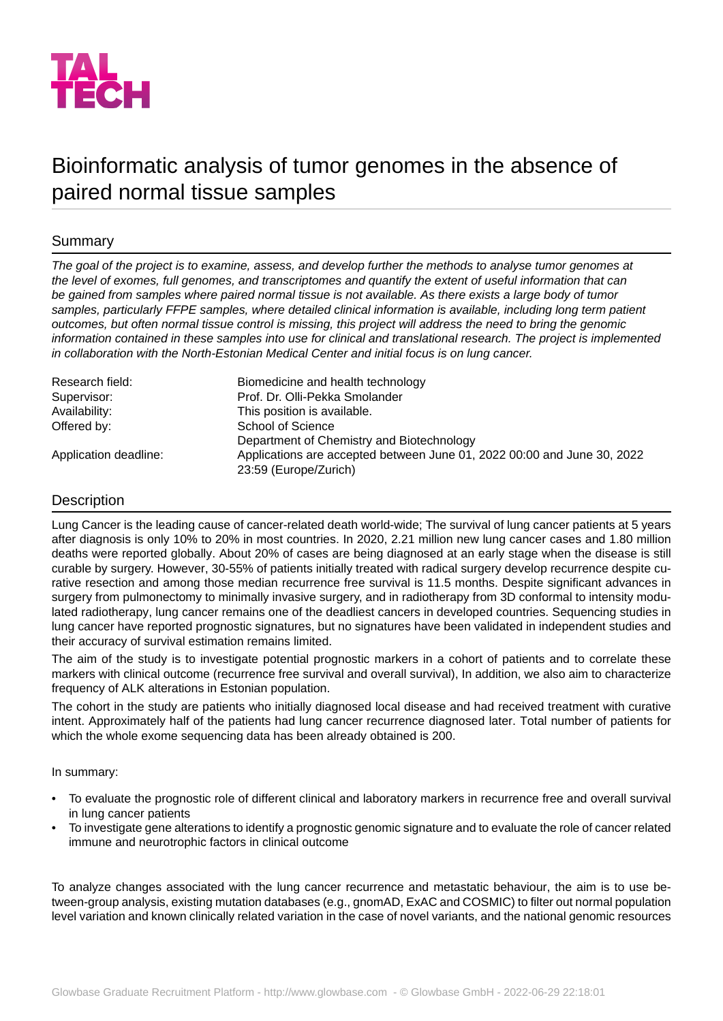

# Bioinformatic analysis of tumor genomes in the absence of paired normal tissue samples

## Summary

*The goal of the project is to examine, assess, and develop further the methods to analyse tumor genomes at the level of exomes, full genomes, and transcriptomes and quantify the extent of useful information that can be gained from samples where paired normal tissue is not available. As there exists a large body of tumor samples, particularly FFPE samples, where detailed clinical information is available, including long term patient outcomes, but often normal tissue control is missing, this project will address the need to bring the genomic information contained in these samples into use for clinical and translational research. The project is implemented in collaboration with the North-Estonian Medical Center and initial focus is on lung cancer.*

| Research field:       | Biomedicine and health technology                                       |
|-----------------------|-------------------------------------------------------------------------|
| Supervisor:           | Prof. Dr. Olli-Pekka Smolander                                          |
| Availability:         | This position is available.                                             |
| Offered by:           | School of Science                                                       |
|                       | Department of Chemistry and Biotechnology                               |
| Application deadline: | Applications are accepted between June 01, 2022 00:00 and June 30, 2022 |
|                       | 23:59 (Europe/Zurich)                                                   |

## Description

Lung Cancer is the leading cause of cancer-related death world-wide; The survival of lung cancer patients at 5 years after diagnosis is only 10% to 20% in most countries. In 2020, 2.21 million new lung cancer cases and 1.80 million deaths were reported globally. About 20% of cases are being diagnosed at an early stage when the disease is still curable by surgery. However, 30-55% of patients initially treated with radical surgery develop recurrence despite curative resection and among those median recurrence free survival is 11.5 months. Despite significant advances in surgery from pulmonectomy to minimally invasive surgery, and in radiotherapy from 3D conformal to intensity modulated radiotherapy, lung cancer remains one of the deadliest cancers in developed countries. Sequencing studies in lung cancer have reported prognostic signatures, but no signatures have been validated in independent studies and their accuracy of survival estimation remains limited.

The aim of the study is to investigate potential prognostic markers in a cohort of patients and to correlate these markers with clinical outcome (recurrence free survival and overall survival), In addition, we also aim to characterize frequency of ALK alterations in Estonian population.

The cohort in the study are patients who initially diagnosed local disease and had received treatment with curative intent. Approximately half of the patients had lung cancer recurrence diagnosed later. Total number of patients for which the whole exome sequencing data has been already obtained is 200.

In summary:

- To evaluate the prognostic role of different clinical and laboratory markers in recurrence free and overall survival in lung cancer patients
- To investigate gene alterations to identify a prognostic genomic signature and to evaluate the role of cancer related immune and neurotrophic factors in clinical outcome

To analyze changes associated with the lung cancer recurrence and metastatic behaviour, the aim is to use between-group analysis, existing mutation databases (e.g., gnomAD, ExAC and COSMIC) to filter out normal population level variation and known clinically related variation in the case of novel variants, and the national genomic resources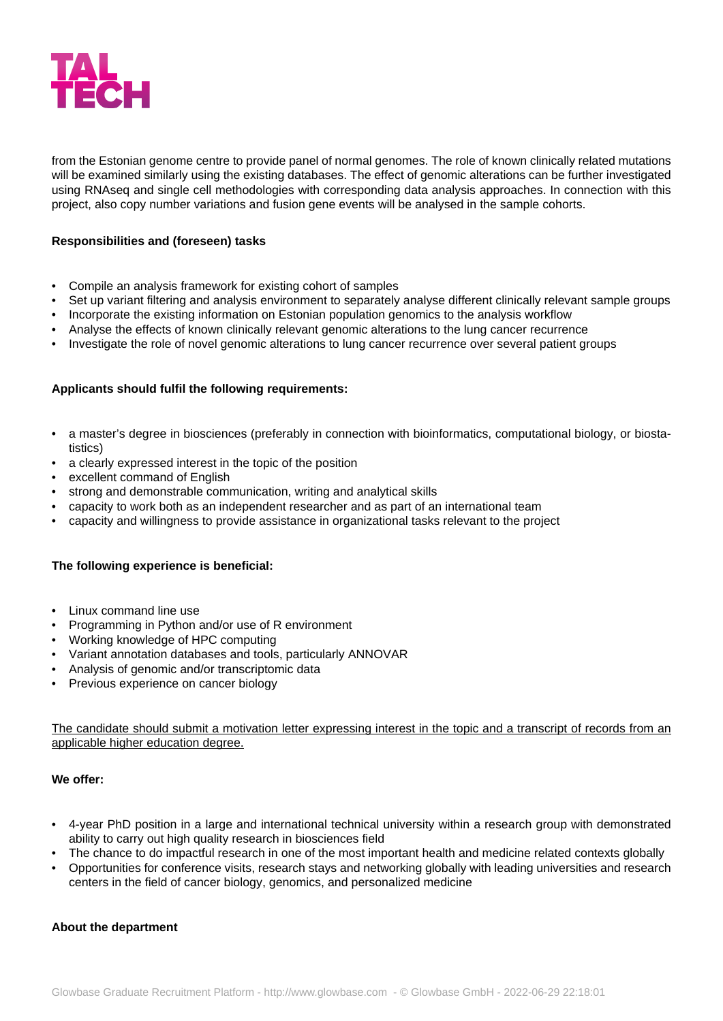

from the Estonian genome centre to provide panel of normal genomes. The role of known clinically related mutations will be examined similarly using the existing databases. The effect of genomic alterations can be further investigated using RNAseq and single cell methodologies with corresponding data analysis approaches. In connection with this project, also copy number variations and fusion gene events will be analysed in the sample cohorts.

## **Responsibilities and (foreseen) tasks**

- Compile an analysis framework for existing cohort of samples
- Set up variant filtering and analysis environment to separately analyse different clinically relevant sample groups
- Incorporate the existing information on Estonian population genomics to the analysis workflow
- Analyse the effects of known clinically relevant genomic alterations to the lung cancer recurrence
- Investigate the role of novel genomic alterations to lung cancer recurrence over several patient groups

## **Applicants should fulfil the following requirements:**

- a master's degree in biosciences (preferably in connection with bioinformatics, computational biology, or biostatistics)
- a clearly expressed interest in the topic of the position
- excellent command of English
- strong and demonstrable communication, writing and analytical skills
- capacity to work both as an independent researcher and as part of an international team
- capacity and willingness to provide assistance in organizational tasks relevant to the project

#### **The following experience is beneficial:**

- Linux command line use
- Programming in Python and/or use of R environment
- Working knowledge of HPC computing
- Variant annotation databases and tools, particularly ANNOVAR
- Analysis of genomic and/or transcriptomic data
- Previous experience on cancer biology

The candidate should submit a motivation letter expressing interest in the topic and a transcript of records from an applicable higher education degree.

#### **We offer:**

- 4-year PhD position in a large and international technical university within a research group with demonstrated ability to carry out high quality research in biosciences field
- The chance to do impactful research in one of the most important health and medicine related contexts globally
- Opportunities for conference visits, research stays and networking globally with leading universities and research centers in the field of cancer biology, genomics, and personalized medicine

#### **About the department**